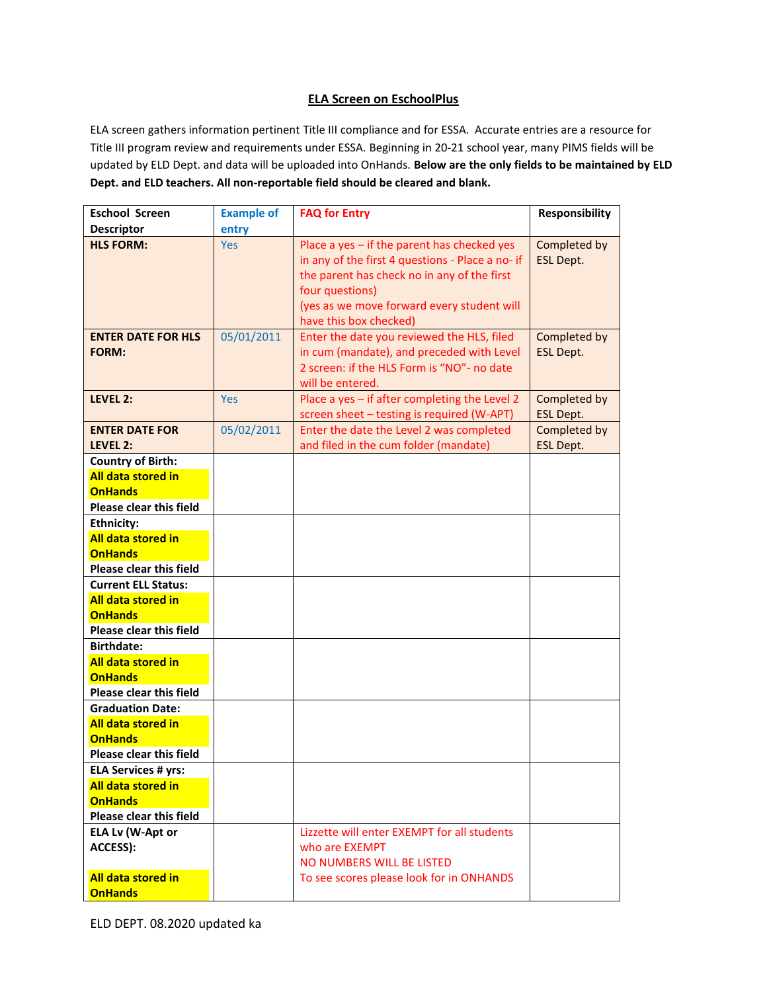## **ELA Screen on EschoolPlus**

ELA screen gathers information pertinent Title III compliance and for ESSA. Accurate entries are a resource for Title III program review and requirements under ESSA. Beginning in 20-21 school year, many PIMS fields will be updated by ELD Dept. and data will be uploaded into OnHands. **Below are the only fields to be maintained by ELD Dept. and ELD teachers. All non-reportable field should be cleared and blank.** 

| <b>Eschool Screen</b>                                                                              | <b>Example of</b> | <b>FAQ for Entry</b>                                                                                                                                                                                                                      | Responsibility                   |
|----------------------------------------------------------------------------------------------------|-------------------|-------------------------------------------------------------------------------------------------------------------------------------------------------------------------------------------------------------------------------------------|----------------------------------|
| <b>Descriptor</b>                                                                                  | entry             |                                                                                                                                                                                                                                           |                                  |
| <b>HLS FORM:</b>                                                                                   | <b>Yes</b>        | Place a yes - if the parent has checked yes<br>in any of the first 4 questions - Place a no- if<br>the parent has check no in any of the first<br>four questions)<br>(yes as we move forward every student will<br>have this box checked) | Completed by<br><b>ESL Dept.</b> |
| <b>ENTER DATE FOR HLS</b><br><b>FORM:</b>                                                          | 05/01/2011        | Enter the date you reviewed the HLS, filed<br>in cum (mandate), and preceded with Level<br>2 screen: if the HLS Form is "NO"- no date<br>will be entered.                                                                                 | Completed by<br><b>ESL Dept.</b> |
| <b>LEVEL 2:</b>                                                                                    | <b>Yes</b>        | Place a yes - if after completing the Level 2<br>screen sheet - testing is required (W-APT)                                                                                                                                               | Completed by<br><b>ESL Dept.</b> |
| <b>ENTER DATE FOR</b>                                                                              | 05/02/2011        | Enter the date the Level 2 was completed                                                                                                                                                                                                  | Completed by                     |
| LEVEL 2:                                                                                           |                   | and filed in the cum folder (mandate)                                                                                                                                                                                                     | <b>ESL Dept.</b>                 |
| <b>Country of Birth:</b><br>All data stored in<br><b>OnHands</b><br><b>Please clear this field</b> |                   |                                                                                                                                                                                                                                           |                                  |
| <b>Ethnicity:</b>                                                                                  |                   |                                                                                                                                                                                                                                           |                                  |
| All data stored in                                                                                 |                   |                                                                                                                                                                                                                                           |                                  |
| <b>OnHands</b>                                                                                     |                   |                                                                                                                                                                                                                                           |                                  |
| <b>Please clear this field</b>                                                                     |                   |                                                                                                                                                                                                                                           |                                  |
| <b>Current ELL Status:</b>                                                                         |                   |                                                                                                                                                                                                                                           |                                  |
| All data stored in                                                                                 |                   |                                                                                                                                                                                                                                           |                                  |
| <b>OnHands</b>                                                                                     |                   |                                                                                                                                                                                                                                           |                                  |
| <b>Please clear this field</b>                                                                     |                   |                                                                                                                                                                                                                                           |                                  |
| <b>Birthdate:</b>                                                                                  |                   |                                                                                                                                                                                                                                           |                                  |
| All data stored in<br><b>OnHands</b>                                                               |                   |                                                                                                                                                                                                                                           |                                  |
| <b>Please clear this field</b>                                                                     |                   |                                                                                                                                                                                                                                           |                                  |
| <b>Graduation Date:</b>                                                                            |                   |                                                                                                                                                                                                                                           |                                  |
| All data stored in                                                                                 |                   |                                                                                                                                                                                                                                           |                                  |
| <b>OnHands</b>                                                                                     |                   |                                                                                                                                                                                                                                           |                                  |
| <b>Please clear this field</b>                                                                     |                   |                                                                                                                                                                                                                                           |                                  |
| <b>ELA Services # yrs:</b>                                                                         |                   |                                                                                                                                                                                                                                           |                                  |
| All data stored in                                                                                 |                   |                                                                                                                                                                                                                                           |                                  |
| <b>OnHands</b>                                                                                     |                   |                                                                                                                                                                                                                                           |                                  |
| Please clear this field                                                                            |                   |                                                                                                                                                                                                                                           |                                  |
| ELA Lv (W-Apt or<br>ACCESS):                                                                       |                   | Lizzette will enter EXEMPT for all students<br>who are EXEMPT<br>NO NUMBERS WILL BE LISTED                                                                                                                                                |                                  |
| All data stored in<br><b>OnHands</b>                                                               |                   | To see scores please look for in ONHANDS                                                                                                                                                                                                  |                                  |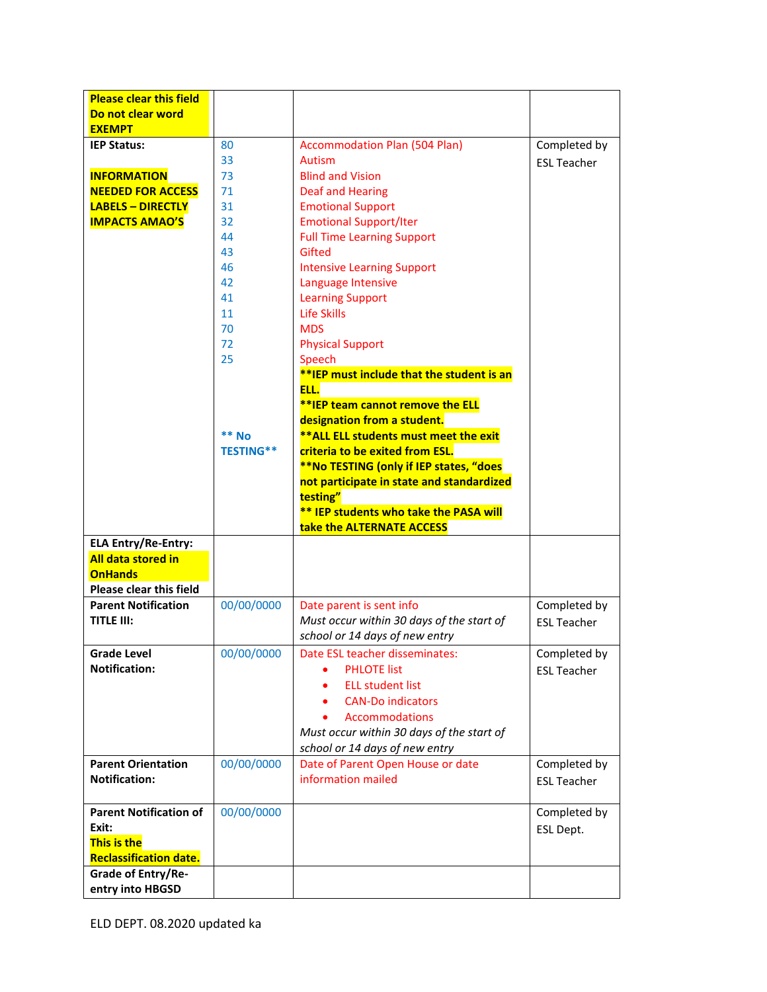| <b>Please clear this field</b>                    |                  |                                               |                    |
|---------------------------------------------------|------------------|-----------------------------------------------|--------------------|
| Do not clear word                                 |                  |                                               |                    |
| <b>EXEMPT</b>                                     |                  |                                               |                    |
| <b>IEP Status:</b>                                | 80               | <b>Accommodation Plan (504 Plan)</b>          | Completed by       |
|                                                   | 33               | Autism                                        | <b>FSI Teacher</b> |
| <b>INFORMATION</b>                                | 73               | <b>Blind and Vision</b>                       |                    |
| <b>NEEDED FOR ACCESS</b>                          | 71               | Deaf and Hearing                              |                    |
| <b>LABELS - DIRECTLY</b>                          | 31               | <b>Emotional Support</b>                      |                    |
| <b>IMPACTS AMAO'S</b>                             | 32               | <b>Emotional Support/Iter</b>                 |                    |
|                                                   | 44               | <b>Full Time Learning Support</b>             |                    |
|                                                   | 43               | Gifted                                        |                    |
|                                                   | 46               | <b>Intensive Learning Support</b>             |                    |
|                                                   | 42               | Language Intensive                            |                    |
|                                                   | 41               | <b>Learning Support</b>                       |                    |
|                                                   | 11               | Life Skills                                   |                    |
|                                                   | 70               | <b>MDS</b>                                    |                    |
|                                                   | 72               | <b>Physical Support</b>                       |                    |
|                                                   | 25               | Speech                                        |                    |
|                                                   |                  | **IEP must include that the student is an     |                    |
|                                                   |                  | ELL.                                          |                    |
|                                                   |                  | **IEP team cannot remove the ELL              |                    |
|                                                   |                  | designation from a student.                   |                    |
|                                                   | $**$ No          | ** ALL ELL students must meet the exit        |                    |
|                                                   | <b>TESTING**</b> | criteria to be exited from ESL.               |                    |
|                                                   |                  | **No TESTING (only if IEP states, "does       |                    |
|                                                   |                  | not participate in state and standardized     |                    |
|                                                   |                  | testing"                                      |                    |
|                                                   |                  | <b>** IEP students who take the PASA will</b> |                    |
|                                                   |                  | take the ALTERNATE ACCESS                     |                    |
| <b>ELA Entry/Re-Entry:</b>                        |                  |                                               |                    |
| All data stored in                                |                  |                                               |                    |
| <b>OnHands</b>                                    |                  |                                               |                    |
| <b>Please clear this field</b>                    |                  |                                               |                    |
| <b>Parent Notification</b>                        | 00/00/0000       | Date parent is sent info                      | Completed by       |
| <b>TITLE III:</b>                                 |                  | Must occur within 30 days of the start of     |                    |
|                                                   |                  |                                               | <b>FSI Teacher</b> |
|                                                   |                  | school or 14 days of new entry                |                    |
| <b>Grade Level</b>                                | 00/00/0000       | Date ESL teacher disseminates:                | Completed by       |
| <b>Notification:</b>                              |                  | <b>PHLOTE</b> list                            | <b>ESL Teacher</b> |
|                                                   |                  | <b>ELL student list</b><br>٠                  |                    |
|                                                   |                  | <b>CAN-Do indicators</b>                      |                    |
|                                                   |                  |                                               |                    |
|                                                   |                  | <b>Accommodations</b>                         |                    |
|                                                   |                  | Must occur within 30 days of the start of     |                    |
|                                                   |                  | school or 14 days of new entry                |                    |
| <b>Parent Orientation</b><br><b>Notification:</b> | 00/00/0000       | Date of Parent Open House or date             | Completed by       |
|                                                   |                  | information mailed                            | <b>ESL Teacher</b> |
|                                                   |                  |                                               |                    |
| <b>Parent Notification of</b>                     | 00/00/0000       |                                               | Completed by       |
| Exit:                                             |                  |                                               | ESL Dept.          |
| <b>This is the</b>                                |                  |                                               |                    |
| <b>Reclassification date.</b>                     |                  |                                               |                    |
| Grade of Entry/Re-<br>entry into HBGSD            |                  |                                               |                    |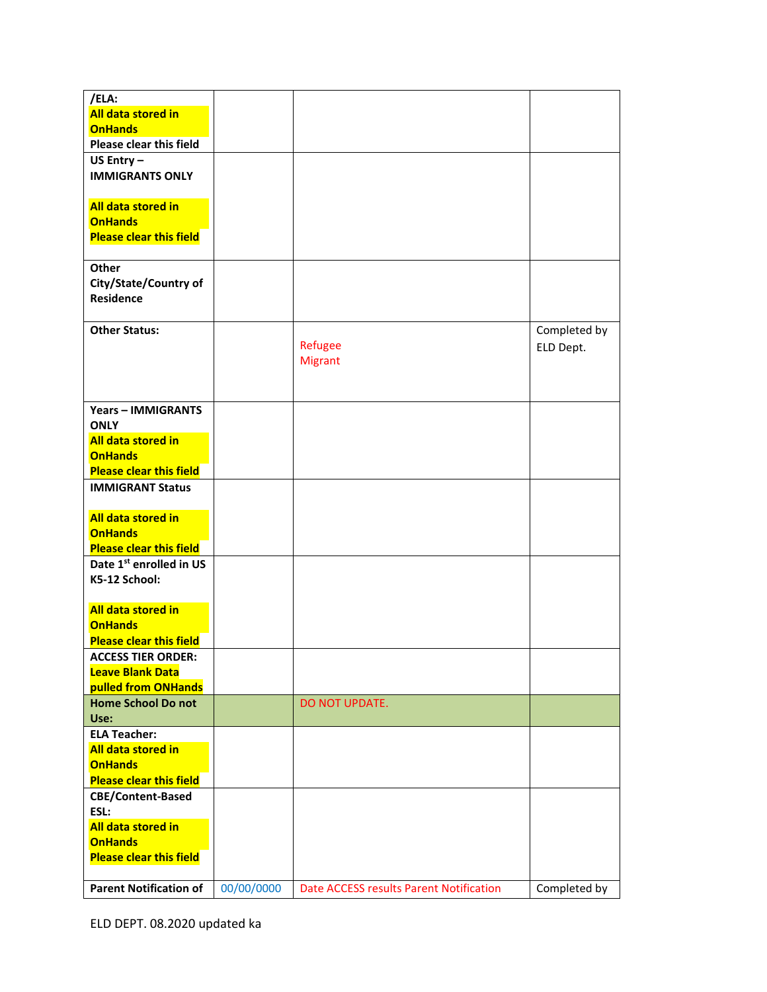| /ELA:                          |            |                                         |              |
|--------------------------------|------------|-----------------------------------------|--------------|
| All data stored in             |            |                                         |              |
| <b>OnHands</b>                 |            |                                         |              |
| Please clear this field        |            |                                         |              |
| US Entry $-$                   |            |                                         |              |
| <b>IMMIGRANTS ONLY</b>         |            |                                         |              |
|                                |            |                                         |              |
| All data stored in             |            |                                         |              |
| <b>OnHands</b>                 |            |                                         |              |
| <b>Please clear this field</b> |            |                                         |              |
|                                |            |                                         |              |
| Other                          |            |                                         |              |
| City/State/Country of          |            |                                         |              |
| <b>Residence</b>               |            |                                         |              |
|                                |            |                                         |              |
| <b>Other Status:</b>           |            |                                         | Completed by |
|                                |            | Refugee                                 | ELD Dept.    |
|                                |            | <b>Migrant</b>                          |              |
|                                |            |                                         |              |
|                                |            |                                         |              |
| <b>Years - IMMIGRANTS</b>      |            |                                         |              |
| <b>ONLY</b>                    |            |                                         |              |
| All data stored in             |            |                                         |              |
| <b>OnHands</b>                 |            |                                         |              |
| <b>Please clear this field</b> |            |                                         |              |
| <b>IMMIGRANT Status</b>        |            |                                         |              |
|                                |            |                                         |              |
| All data stored in             |            |                                         |              |
| <b>OnHands</b>                 |            |                                         |              |
| <b>Please clear this field</b> |            |                                         |              |
| Date 1st enrolled in US        |            |                                         |              |
| K5-12 School:                  |            |                                         |              |
|                                |            |                                         |              |
| All data stored in             |            |                                         |              |
| <b>OnHands</b>                 |            |                                         |              |
| <b>Please clear this field</b> |            |                                         |              |
| <b>ACCESS TIER ORDER:</b>      |            |                                         |              |
| <b>Leave Blank Data</b>        |            |                                         |              |
| pulled from ONHands            |            |                                         |              |
| <b>Home School Donot</b>       |            | DO NOT UPDATE.                          |              |
| Use:                           |            |                                         |              |
| <b>ELA Teacher:</b>            |            |                                         |              |
| All data stored in             |            |                                         |              |
| <b>OnHands</b>                 |            |                                         |              |
| <b>Please clear this field</b> |            |                                         |              |
| <b>CBE/Content-Based</b>       |            |                                         |              |
| ESL:                           |            |                                         |              |
| All data stored in             |            |                                         |              |
| <b>OnHands</b>                 |            |                                         |              |
| <b>Please clear this field</b> |            |                                         |              |
|                                |            |                                         |              |
| <b>Parent Notification of</b>  | 00/00/0000 | Date ACCESS results Parent Notification | Completed by |

ELD DEPT. 08.2020 updated ka